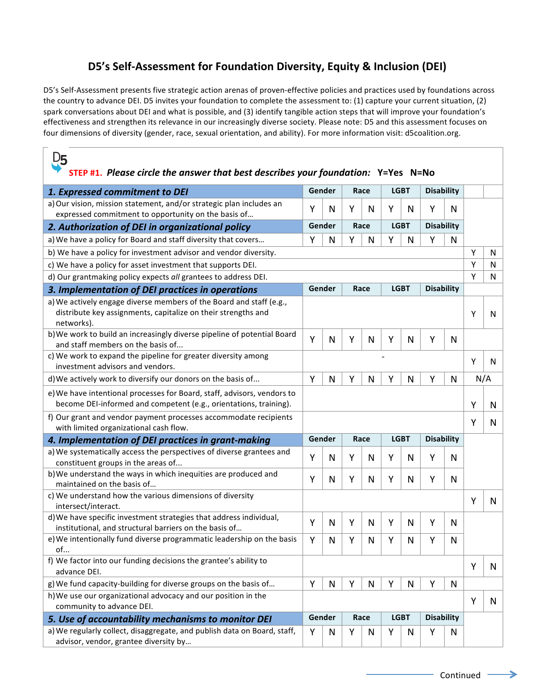## **D5's Self-Assessment for Foundation Diversity, Equity & Inclusion (DEI)**

D5's Self-Assessment presents five strategic action arenas of proven-effective policies and practices used by foundations across the country to advance DEI. D5 invites your foundation to complete the assessment to: (1) capture your current situation, (2) spark conversations about DEI and what is possible, and (3) identify tangible action steps that will improve your foundation's effectiveness and strengthen its relevance in our increasingly diverse society. Please note: D5 and this assessment focuses on four dimensions of diversity (gender, race, sexual orientation, and ability). For more information visit: d5coalition.org.

| D5<br>STEP #1. Please circle the answer that best describes your foundation: Y=Yes N=No                                                            |                |   |      |              |             |              |                   |              |     |   |
|----------------------------------------------------------------------------------------------------------------------------------------------------|----------------|---|------|--------------|-------------|--------------|-------------------|--------------|-----|---|
| 1. Expressed commitment to DEI                                                                                                                     | Gender         |   | Race |              | <b>LGBT</b> |              | <b>Disability</b> |              |     |   |
| a) Our vision, mission statement, and/or strategic plan includes an                                                                                | Y              | N | Υ    | N            | Υ           | N            | Υ                 | N            |     |   |
| expressed commitment to opportunity on the basis of                                                                                                |                |   |      |              |             |              |                   |              |     |   |
| 2. Authorization of DEI in organizational policy                                                                                                   | Gender         |   | Race |              | <b>LGBT</b> |              | <b>Disability</b> |              |     |   |
| a) We have a policy for Board and staff diversity that covers                                                                                      | Y              | N | Υ    | N            | Υ           | N            | Υ                 | $\mathsf{N}$ |     |   |
| b) We have a policy for investment advisor and vendor diversity.                                                                                   |                |   |      |              |             |              |                   | Y            | N   |   |
| Y<br>c) We have a policy for asset investment that supports DEI.                                                                                   |                |   |      |              |             |              |                   |              |     | N |
| d) Our grantmaking policy expects all grantees to address DEI.                                                                                     |                |   |      |              |             |              |                   |              | Y   | N |
| 3. Implementation of DEI practices in operations                                                                                                   | Gender<br>Race |   |      |              | <b>LGBT</b> |              | <b>Disability</b> |              |     |   |
| a) We actively engage diverse members of the Board and staff (e.g.,<br>distribute key assignments, capitalize on their strengths and<br>networks). |                |   |      |              |             |              | Y                 | N            |     |   |
| b) We work to build an increasingly diverse pipeline of potential Board<br>and staff members on the basis of                                       | Y              | N | Y    | $\mathsf{N}$ | Υ           | N            | Υ                 | N            |     |   |
| c) We work to expand the pipeline for greater diversity among<br>investment advisors and vendors.                                                  |                |   |      |              |             |              |                   | Y            | N   |   |
| d) We actively work to diversify our donors on the basis of                                                                                        | Y              | N | Υ    | N            | Υ           | N            | Υ                 | N            | N/A |   |
| e) We have intentional processes for Board, staff, advisors, vendors to<br>become DEI-informed and competent (e.g., orientations, training).       |                |   |      |              |             |              |                   |              | Y   | N |
| f) Our grant and vendor payment processes accommodate recipients<br>with limited organizational cash flow.                                         |                |   |      |              |             |              |                   | Y            | N   |   |
| 4. Implementation of DEI practices in grant-making                                                                                                 | Gender<br>Race |   |      |              | <b>LGBT</b> |              | <b>Disability</b> |              |     |   |
| a) We systematically access the perspectives of diverse grantees and<br>constituent groups in the areas of                                         | Υ              | N | Y    | N            | Υ           | N            | Υ                 | N            |     |   |
| b) We understand the ways in which inequities are produced and<br>maintained on the basis of                                                       | Y              | N | Υ    | N            | Υ           | N            | Y                 | N            |     |   |
| c) We understand how the various dimensions of diversity<br>intersect/interact.                                                                    |                |   |      |              |             |              | Y                 | N            |     |   |
| d) We have specific investment strategies that address individual,<br>institutional, and structural barriers on the basis of                       | Y              | N | Y    | N            | Υ           | N            | Y                 | N            |     |   |
| e) We intentionally fund diverse programmatic leadership on the basis<br>of                                                                        | Υ              | N | Y    | N            | Υ           | N            |                   | N            |     |   |
| f) We factor into our funding decisions the grantee's ability to<br>advance DEI.                                                                   |                |   |      |              |             |              |                   |              | Y   | N |
| g) We fund capacity-building for diverse groups on the basis of                                                                                    | Y              | N | Υ    | N            | Υ           | $\mathsf{N}$ | Y                 | N            |     |   |
| h) We use our organizational advocacy and our position in the<br>community to advance DEI.                                                         |                |   |      |              |             |              |                   |              | Y   | N |
| 5. Use of accountability mechanisms to monitor DEI                                                                                                 | Gender         |   | Race |              | <b>LGBT</b> |              | <b>Disability</b> |              |     |   |
| a) We regularly collect, disaggregate, and publish data on Board, staff,<br>advisor, vendor, grantee diversity by                                  | Υ              | N | Υ    | N            | Υ           | N            | Υ                 | N            |     |   |

 $\rightarrow$